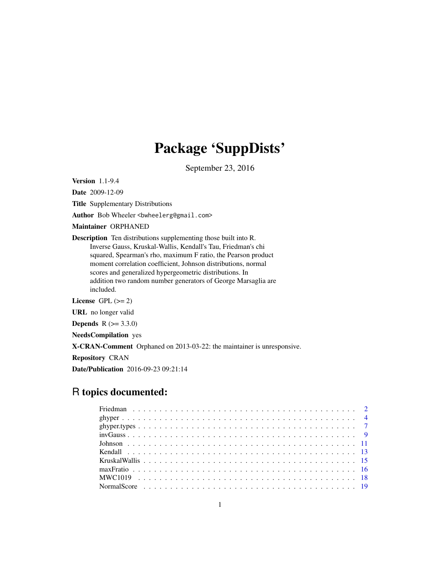# Package 'SuppDists'

September 23, 2016

Version 1.1-9.4

Date 2009-12-09

Title Supplementary Distributions

Author Bob Wheeler <br/>bwheelerg@gmail.com>

Maintainer ORPHANED

Description Ten distributions supplementing those built into R. Inverse Gauss, Kruskal-Wallis, Kendall's Tau, Friedman's chi squared, Spearman's rho, maximum F ratio, the Pearson product moment correlation coefficient, Johnson distributions, normal scores and generalized hypergeometric distributions. In addition two random number generators of George Marsaglia are included.

License GPL  $(>= 2)$ 

URL no longer valid

**Depends** R  $(>= 3.3.0)$ 

NeedsCompilation yes

X-CRAN-Comment Orphaned on 2013-03-22: the maintainer is unresponsive.

Repository CRAN

Date/Publication 2016-09-23 09:21:14

# R topics documented: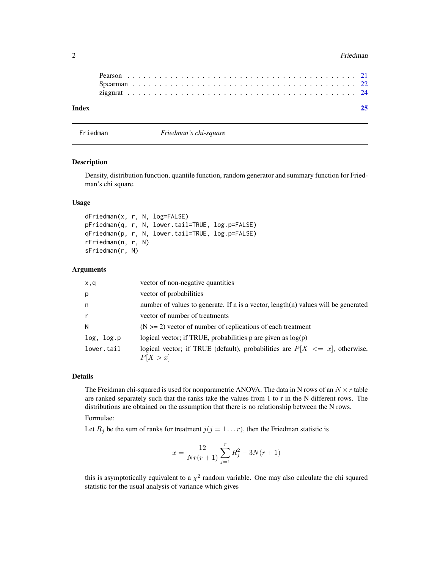#### <span id="page-1-0"></span>2 **Primary 19th Contract Contract Contract Contract Contract Contract Contract Contract Contract Contract Contract Contract Contract Contract Contract Contract Contract Contract Contract Contract Contract Contract Contract**

| Index |  |  |  |  |  |  |  |  |  |  |  |  |  |  |  |  |  |  |  |  |  |
|-------|--|--|--|--|--|--|--|--|--|--|--|--|--|--|--|--|--|--|--|--|--|
|       |  |  |  |  |  |  |  |  |  |  |  |  |  |  |  |  |  |  |  |  |  |
|       |  |  |  |  |  |  |  |  |  |  |  |  |  |  |  |  |  |  |  |  |  |
|       |  |  |  |  |  |  |  |  |  |  |  |  |  |  |  |  |  |  |  |  |  |

Friedman *Friedman's chi-square*

# Description

Density, distribution function, quantile function, random generator and summary function for Friedman's chi square.

# Usage

```
dFriedman(x, r, N, log=FALSE)
pFriedman(q, r, N, lower.tail=TRUE, log.p=FALSE)
qFriedman(p, r, N, lower.tail=TRUE, log.p=FALSE)
rFriedman(n, r, N)
sFriedman(r, N)
```
#### Arguments

| x,q          | vector of non-negative quantities                                                           |
|--------------|---------------------------------------------------------------------------------------------|
| p            | vector of probabilities                                                                     |
| n.           | number of values to generate. If n is a vector, length(n) values will be generated          |
| $\mathsf{r}$ | vector of number of treatments                                                              |
| N            | $(N \geq 2)$ vector of number of replications of each treatment                             |
| log, log.p   | logical vector; if TRUE, probabilities $p$ are given as $log(p)$                            |
| lower.tail   | logical vector; if TRUE (default), probabilities are $P[X \leq x]$ , otherwise,<br>P[X > x] |

#### Details

The Freidman chi-squared is used for nonparametric ANOVA. The data in N rows of an  $N \times r$  table are ranked separately such that the ranks take the values from 1 to r in the N different rows. The distributions are obtained on the assumption that there is no relationship between the N rows.

# Formulae:

Let  $R_j$  be the sum of ranks for treatment  $j(j = 1 ... r)$ , then the Friedman statistic is

$$
x = \frac{12}{Nr(r+1)}\sum_{j=1}^{r} R_j^2 - 3N(r+1)
$$

this is asymptotically equivalent to a  $\chi^2$  random variable. One may also calculate the chi squared statistic for the usual analysis of variance which gives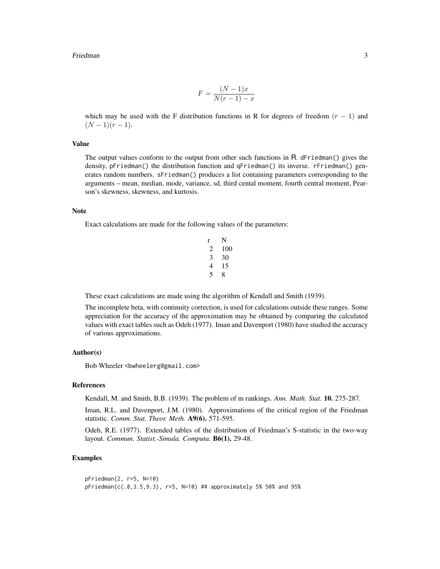#### Friedman 3

$$
F = \frac{(N-1)x}{N(r-1) - x}
$$

which may be used with the F distribution functions in R for degrees of freedom  $(r - 1)$  and  $(N-1)(r-1)$ .

# Value

The output values conform to the output from other such functions in R. dFriedman() gives the density, pFriedman() the distribution function and qFriedman() its inverse. rFriedman() generates random numbers. sFriedman() produces a list containing parameters corresponding to the arguments – mean, median, mode, variance, sd, third cental moment, fourth central moment, Pearson's skewness, skewness, and kurtosis.

#### Note

Exact calculations are made for the following values of the parameters:

| r                           | N   |
|-----------------------------|-----|
| $\mathcal{D}_{\mathcal{L}}$ | 100 |
| 3                           | 30  |
| 4                           | 15  |
| 5                           | 8   |

These exact calculations are made using the algorithm of Kendall and Smith (1939).

The incomplete beta, with continuity correction, is used for calculations outside these ranges. Some appreciation for the accuracy of the approximation may be obtained by comparing the calculated values with exact tables such as Odeh (1977). Iman and Davenport (1980) have studied the accuracy of various approximations.

#### Author(s)

Bob Wheeler <bwheelerg@gmail.com>

#### References

Kendall, M. and Smith, B.B. (1939). The problem of m rankings. *Ann. Math. Stat.* 10. 275-287.

Iman, R.L. and Davenport, J.M. (1980). Approximations of the critical region of the Friedman statistic. *Comm. Stat. Theor. Meth.* A9(6). 571-595.

Odeh, R.E. (1977). Extended tables of the distribution of Friedman's S-statistic in the two-way layout. *Commun. Statist.-Simula. Computa.* B6(1). 29-48.

#### Examples

```
pFriedman(2, r=5, N=10)
pFriedman(c(.8,3.5,9.3), r=5, N=10) ## approximately 5% 50% and 95%
```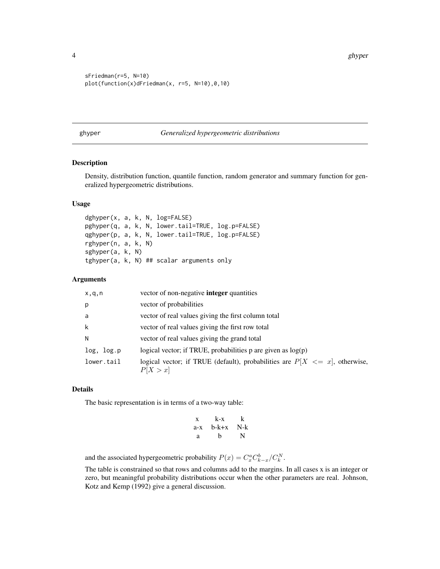```
sFriedman(r=5, N=10)
plot(function(x)dFriedman(x, r=5, N=10),0,10)
```
#### ghyper *Generalized hypergeometric distributions*

#### Description

Density, distribution function, quantile function, random generator and summary function for generalized hypergeometric distributions.

# Usage

dghyper(x, a, k, N, log=FALSE) pghyper(q, a, k, N, lower.tail=TRUE, log.p=FALSE) qghyper(p, a, k, N, lower.tail=TRUE, log.p=FALSE) rghyper(n, a, k, N) sghyper(a, k, N) tghyper(a, k, N) ## scalar arguments only

#### Arguments

| x,q,n      | vector of non-negative <b>integer</b> quantities                                            |
|------------|---------------------------------------------------------------------------------------------|
| p          | vector of probabilities                                                                     |
| a          | vector of real values giving the first column total                                         |
| k          | vector of real values giving the first row total                                            |
| N          | vector of real values giving the grand total                                                |
| log, log.p | logical vector; if TRUE, probabilities p are given as $log(p)$                              |
| lower.tail | logical vector; if TRUE (default), probabilities are $P[X \leq x]$ , otherwise,<br>P[X > x] |

# Details

The basic representation is in terms of a two-way table:

| X     | k-x   | k     |
|-------|-------|-------|
| $a-x$ | b-k+x | $N-k$ |
| a     | h     | N     |

and the associated hypergeometric probability  $P(x) = C_x^a C_{k-x}^b / C_k^N$ .

The table is constrained so that rows and columns add to the margins. In all cases x is an integer or zero, but meaningful probability distributions occur when the other parameters are real. Johnson, Kotz and Kemp (1992) give a general discussion.

<span id="page-3-0"></span>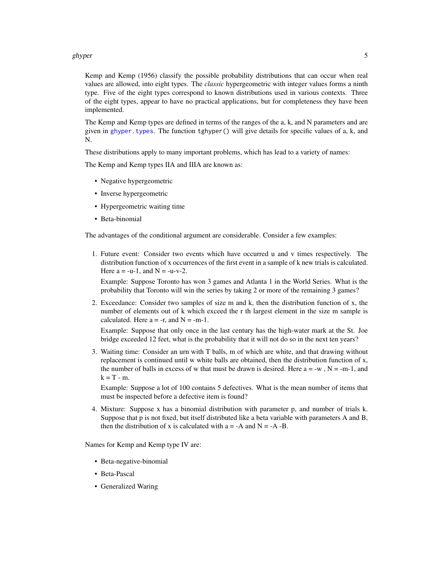#### <span id="page-4-0"></span>ghyper 5

Kemp and Kemp (1956) classify the possible probability distributions that can occur when real values are allowed, into eight types. The *classic* hypergeometric with integer values forms a ninth type. Five of the eight types correspond to known distributions used in various contexts. Three of the eight types, appear to have no practical applications, but for completeness they have been implemented.

The Kemp and Kemp types are defined in terms of the ranges of the a, k, and N parameters and are given in [ghyper.types](#page-6-1). The function tghyper() will give details for specific values of a, k, and N.

These distributions apply to many important problems, which has lead to a variety of names:

The Kemp and Kemp types IIA and IIIA are known as:

- Negative hypergeometric
- Inverse hypergeometric
- Hypergeometric waiting time
- Beta-binomial

The advantages of the conditional argument are considerable. Consider a few examples:

1. Future event: Consider two events which have occurred u and v times respectively. The distribution function of x occurrences of the first event in a sample of k new trials is calculated. Here  $a = -u-1$ , and  $N = -u-v-2$ .

Example: Suppose Toronto has won 3 games and Atlanta 1 in the World Series. What is the probability that Toronto will win the series by taking 2 or more of the remaining 3 games?

2. Exceedance: Consider two samples of size m and k, then the distribution function of x, the number of elements out of k which exceed the r th largest element in the size m sample is calculated. Here  $a = -r$ , and  $N = -m-1$ .

Example: Suppose that only once in the last century has the high-water mark at the St. Joe bridge exceeded 12 feet, what is the probability that it will not do so in the next ten years?

3. Waiting time: Consider an urn with T balls, m of which are white, and that drawing without replacement is continued until w white balls are obtained, then the distribution function of x, the number of balls in excess of w that must be drawn is desired. Here  $a = -w$ ,  $N = -m-1$ , and  $k = T - m$ .

Example: Suppose a lot of 100 contains 5 defectives. What is the mean number of items that must be inspected before a defective item is found?

4. Mixture: Suppose x has a binomial distribution with parameter p, and number of trials k. Suppose that p is not fixed, but itself distributed like a beta variable with parameters A and B, then the distribution of x is calculated with  $a = -A$  and  $N = -A$  -B.

Names for Kemp and Kemp type IV are:

- Beta-negative-binomial
- Beta-Pascal
- Generalized Waring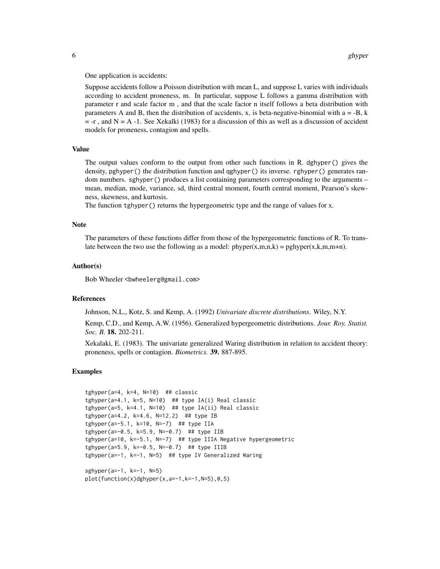One application is accidents:

Suppose accidents follow a Poisson distribution with mean L, and suppose L varies with individuals according to accident proneness, m. In particular, suppose L follows a gamma distribution with parameter r and scale factor m , and that the scale factor n itself follows a beta distribution with parameters A and B, then the distribution of accidents, x, is beta-negative-binomial with  $a = -B$ , k  $= -r$ , and N = A -1. See Xekalki (1983) for a discussion of this as well as a discussion of accident models for proneness, contagion and spells.

#### Value

The output values conform to the output from other such functions in R. dghyper() gives the density, pghyper() the distribution function and qghyper() its inverse. rghyper() generates random numbers. sghyper() produces a list containing parameters corresponding to the arguments – mean, median, mode, variance, sd, third central moment, fourth central moment, Pearson's skewness, skewness, and kurtosis.

The function tghyper() returns the hypergeometric type and the range of values for x.

# **Note**

The parameters of these functions differ from those of the hypergeometric functions of R. To translate between the two use the following as a model:  $phyper(x,m,n,k) = pghyper(x,k,m,m+n)$ .

#### Author(s)

Bob Wheeler<br/>bwheelerg@gmail.com>

# **References**

Johnson, N.L., Kotz, S. and Kemp, A. (1992) *Univariate discrete distributions*. Wiley, N.Y.

Kemp, C.D., and Kemp, A.W. (1956). Generalized hypergeometric distributions. *Jour. Roy. Statist. Soc. B.* 18. 202-211.

Xekalaki, E. (1983). The univariate generalized Waring distribution in relation to accident theory: proneness, spells or contagion. *Biometrics.* 39. 887-895.

#### Examples

```
tghyper(a=4, k=4, N=10) ## classic
tghyper(a=4.1, k=5, N=10) ## type IA(i) Real classic
tghyper(a=5, k=4.1, N=10) ## type IA(ii) Real classic
tghyper(a=4.2, k=4.6, N=12.2) ## type IB
tghyper(a=-5.1, k=10, N=-7) ## type IIA
tghyper(a=-0.5, k=5.9, N=-0.7) ## type IIB
tghyper(a=10, k=-5.1, N=-7) ## type IIIA Negative hypergeometric
tghyper(a=5.9, k=-0.5, N=-0.7) ## type IIIB
tghyper(a=-1, k=-1, N=5) ## type IV Generalized Waring
sghyper(a=-1, k=-1, N=5)
```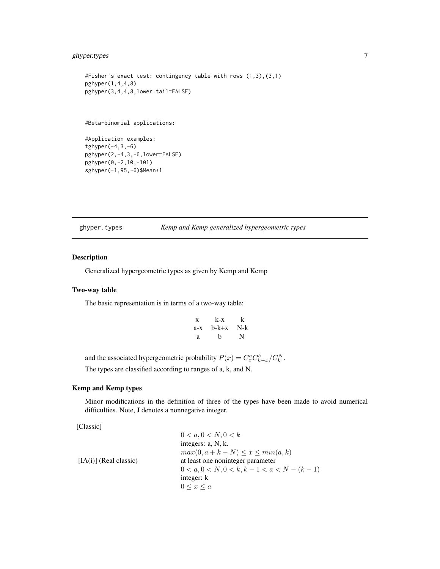# <span id="page-6-0"></span>ghyper.types 7

```
#Fisher's exact test: contingency table with rows (1,3),(3,1)
pghyper(1,4,4,8)
pghyper(3,4,4,8,lower.tail=FALSE)
```
#Beta-binomial applications:

#Application examples: tghyper(-4,3,-6) pghyper(2,-4,3,-6,lower=FALSE) pghyper(0,-2,10,-101) sghyper(-1,95,-6)\$Mean+1

<span id="page-6-1"></span>ghyper.types *Kemp and Kemp generalized hypergeometric types*

#### Description

Generalized hypergeometric types as given by Kemp and Kemp

#### Two-way table

The basic representation is in terms of a two-way table:

| X   | k-x   | k   |
|-----|-------|-----|
| a-x | b-k+x | N-k |
| a   | h     | N   |

and the associated hypergeometric probability  $P(x) = C_x^a C_{k-x}^b / C_k^N$ . The types are classified according to ranges of a, k, and N.

# Kemp and Kemp types

Minor modifications in the definition of three of the types have been made to avoid numerical difficulties. Note, J denotes a nonnegative integer.

[Classic]

```
0 < a, 0 < N, 0 < kintegers: a, N, k.
                                 max(0, a + k - N) \leq x \leq min(a, k)[IA(i)] (Real classic) at least one noninteger parameter
                                 0 < a, 0 < N, 0 < k, k - 1 < a < N - (k - 1)integer: k
                                 0 \leq x \leq a
```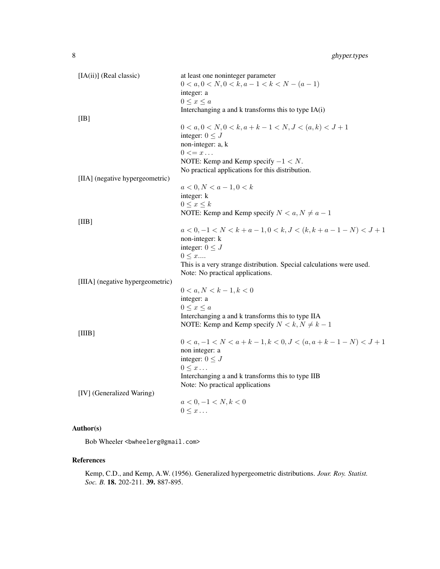| [IA(ii)] (Real classic)          | at least one noninteger parameter                                    |
|----------------------------------|----------------------------------------------------------------------|
|                                  | $0 < a, 0 < N, 0 < k, a - 1 < k < N - (a - 1)$                       |
|                                  | integer: a                                                           |
|                                  | $0 \leq x \leq a$                                                    |
|                                  | Interchanging a and k transforms this to type IA(i)                  |
| [IB]                             |                                                                      |
|                                  | $0 < a, 0 < N, 0 < k, a + k - 1 < N, J < (a, k) < J + 1$             |
|                                  | integer: $0 \leq J$                                                  |
|                                  | non-integer: a, k                                                    |
|                                  | $0 \leq x \dots$                                                     |
|                                  | NOTE: Kemp and Kemp specify $-1 < N$ .                               |
|                                  | No practical applications for this distribution.                     |
| [IIA] (negative hypergeometric)  |                                                                      |
|                                  | $a < 0, N < a - 1, 0 < k$                                            |
|                                  | integer: k                                                           |
|                                  | $0 \leq x \leq k$                                                    |
|                                  | NOTE: Kemp and Kemp specify $N < a, N \neq a - 1$                    |
| [IIB]                            |                                                                      |
|                                  | $a < 0, -1 < N < k + a - 1, 0 < k, J < (k, k + a - 1 - N) < J + 1$   |
|                                  | non-integer: k                                                       |
|                                  | integer: $0 \leq J$                                                  |
|                                  | $0 \leq x$                                                           |
|                                  | This is a very strange distribution. Special calculations were used. |
|                                  | Note: No practical applications.                                     |
| [IIIA] (negative hypergeometric) |                                                                      |
|                                  | $0 < a, N < k - 1, k < 0$                                            |
|                                  | integer: a                                                           |
|                                  | $0 \leq x \leq a$                                                    |
|                                  | Interchanging a and k transforms this to type IIA                    |
|                                  | NOTE: Kemp and Kemp specify $N < k, N \neq k - 1$                    |
| [IIIB]                           |                                                                      |
|                                  | $0 < a, -1 < N < a + k - 1, k < 0, J < (a, a + k - 1 - N) < J + 1$   |
|                                  | non integer: a                                                       |
|                                  | integer: $0 \leq J$                                                  |
|                                  | $0 \leq x \dots$                                                     |
|                                  | Interchanging a and k transforms this to type IIB                    |
|                                  | Note: No practical applications                                      |
| [IV] (Generalized Waring)        |                                                                      |
|                                  | $a < 0, -1 < N, k < 0$                                               |
|                                  | $0 \leq x \dots$                                                     |
|                                  |                                                                      |

# Author(s)

Bob Wheeler<br/>>bwheelerg@gmail.com>

# References

Kemp, C.D., and Kemp, A.W. (1956). Generalized hypergeometric distributions. *Jour. Roy. Statist. Soc. B.* 18. 202-211. 39. 887-895.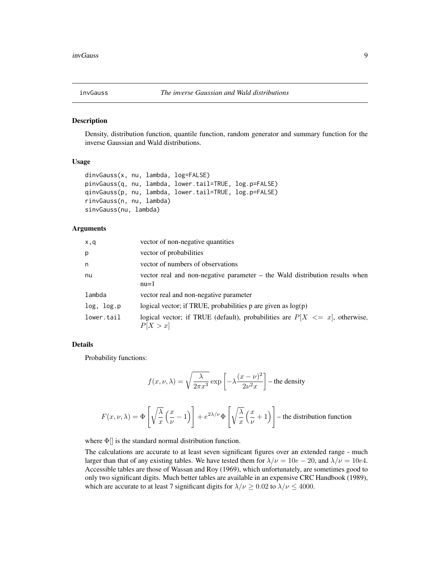<span id="page-8-0"></span>

#### Description

Density, distribution function, quantile function, random generator and summary function for the inverse Gaussian and Wald distributions.

# Usage

```
dinvGauss(x, nu, lambda, log=FALSE)
pinvGauss(q, nu, lambda, lower.tail=TRUE, log.p=FALSE)
qinvGauss(p, nu, lambda, lower.tail=TRUE, log.p=FALSE)
rinvGauss(n, nu, lambda)
sinvGauss(nu, lambda)
```
# Arguments

| x,q        | vector of non-negative quantities                                                           |
|------------|---------------------------------------------------------------------------------------------|
| р          | vector of probabilities                                                                     |
| n          | vector of numbers of observations                                                           |
| nu         | vector real and non-negative parameter – the Wald distribution results when<br>$nu=1$       |
| lambda     | vector real and non-negative parameter                                                      |
| log, log.p | logical vector; if TRUE, probabilities $p$ are given as $log(p)$                            |
| lower.tail | logical vector; if TRUE (default), probabilities are $P[X \leq x]$ , otherwise,<br>P[X > x] |

# Details

Probability functions:

$$
f(x, \nu, \lambda) = \sqrt{\frac{\lambda}{2\pi x^3}} \exp\left[-\lambda \frac{(x-\nu)^2}{2\nu^2 x}\right]
$$
 - the density

$$
F(x,\nu,\lambda) = \Phi\left[\sqrt{\frac{\lambda}{x}}\left(\frac{x}{\nu}-1\right)\right] + e^{2\lambda/\nu}\Phi\left[\sqrt{\frac{\lambda}{x}}\left(\frac{x}{\nu}+1\right)\right]
$$
 the distribution function

where  $\Phi$ [] is the standard normal distribution function.

The calculations are accurate to at least seven significant figures over an extended range - much larger than that of any existing tables. We have tested them for  $\lambda/\nu = 10e - 20$ , and  $\lambda/\nu = 10e4$ . Accessible tables are those of Wassan and Roy (1969), which unfortunately, are sometimes good to only two significant digits. Much better tables are available in an expensive CRC Handbook (1989), which are accurate to at least 7 significant digits for  $\lambda/\nu \ge 0.02$  to  $\lambda/\nu \le 4000$ .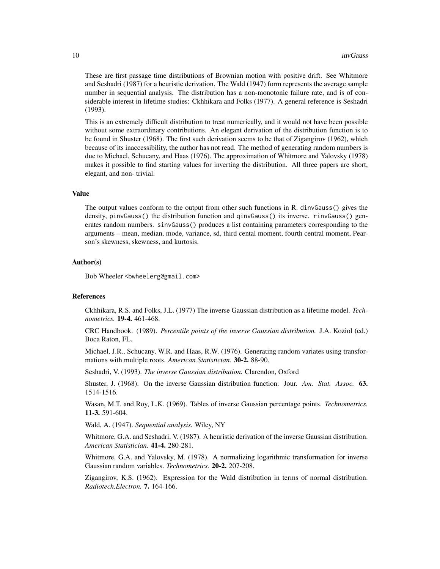These are first passage time distributions of Brownian motion with positive drift. See Whitmore and Seshadri (1987) for a heuristic derivation. The Wald (1947) form represents the average sample number in sequential analysis. The distribution has a non-monotonic failure rate, and is of considerable interest in lifetime studies: Ckhhikara and Folks (1977). A general reference is Seshadri (1993).

This is an extremely difficult distribution to treat numerically, and it would not have been possible without some extraordinary contributions. An elegant derivation of the distribution function is to be found in Shuster (1968). The first such derivation seems to be that of Zigangirov (1962), which because of its inaccessibility, the author has not read. The method of generating random numbers is due to Michael, Schucany, and Haas (1976). The approximation of Whitmore and Yalovsky (1978) makes it possible to find starting values for inverting the distribution. All three papers are short, elegant, and non- trivial.

### Value

The output values conform to the output from other such functions in R. dinvGauss() gives the density, pinvGauss() the distribution function and qinvGauss() its inverse. rinvGauss() generates random numbers. sinvGauss() produces a list containing parameters corresponding to the arguments – mean, median, mode, variance, sd, third cental moment, fourth central moment, Pearson's skewness, skewness, and kurtosis.

#### Author(s)

Bob Wheeler<br/>bwheelerg@gmail.com>

#### References

Ckhhikara, R.S. and Folks, J.L. (1977) The inverse Gaussian distribution as a lifetime model. *Technometrics.* 19-4. 461-468.

CRC Handbook. (1989). *Percentile points of the inverse Gaussian distribution.* J.A. Koziol (ed.) Boca Raton, FL.

Michael, J.R., Schucany, W.R. and Haas, R.W. (1976). Generating random variates using transformations with multiple roots. *American Statistician.* 30-2. 88-90.

Seshadri, V. (1993). *The inverse Gaussian distribution.* Clarendon, Oxford

Shuster, J. (1968). On the inverse Gaussian distribution function. Jour. *Am. Stat. Assoc.* 63. 1514-1516.

Wasan, M.T. and Roy, L.K. (1969). Tables of inverse Gaussian percentage points. *Technometrics.* 11-3. 591-604.

Wald, A. (1947). *Sequential analysis.* Wiley, NY

Whitmore, G.A. and Seshadri, V. (1987). A heuristic derivation of the inverse Gaussian distribution. *American Statistician.* 41-4. 280-281.

Whitmore, G.A. and Yalovsky, M. (1978). A normalizing logarithmic transformation for inverse Gaussian random variables. *Technometrics.* 20-2. 207-208.

Zigangirov, K.S. (1962). Expression for the Wald distribution in terms of normal distribution. *Radiotech.Electron.* 7. 164-166.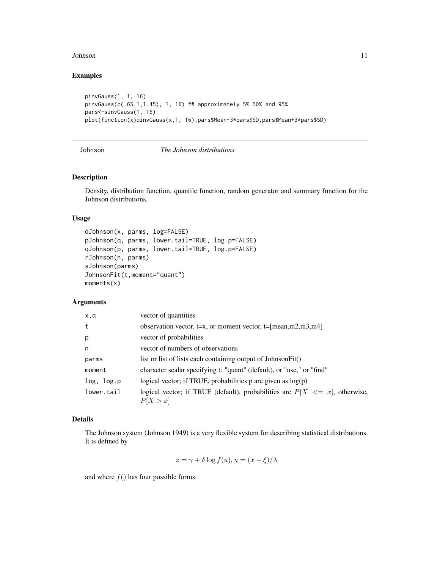#### <span id="page-10-0"></span>Johnson 11

# Examples

```
pinvGauss(1, 1, 16)
pinvGauss(c(.65,1,1.45), 1, 16) ## approximately 5% 50% and 95%
pars<-sinvGauss(1, 16)
plot(function(x)dinvGauss(x,1, 16),pars$Mean-3*pars$SD,pars$Mean+3*pars$SD)
```
# Johnson *The Johnson distributions*

# Description

Density, distribution function, quantile function, random generator and summary function for the Johnson distributions.

# Usage

```
dJohnson(x, parms, log=FALSE)
pJohnson(q, parms, lower.tail=TRUE, log.p=FALSE)
qJohnson(p, parms, lower.tail=TRUE, log.p=FALSE)
rJohnson(n, parms)
sJohnson(parms)
JohnsonFit(t,moment="quant")
moments(x)
```
# Arguments

| x,q        | vector of quantities                                                                        |
|------------|---------------------------------------------------------------------------------------------|
| t          | observation vector, $t=x$ , or moment vector, $t=[mean,m2,m3,m4]$                           |
| p          | vector of probabilities                                                                     |
| n          | vector of numbers of observations                                                           |
| parms      | list or list of lists each containing output of JohnsonFit()                                |
| moment     | character scalar specifying t: "quant" (default), or "use," or "find"                       |
| log, log.p | logical vector; if TRUE, probabilities p are given as $log(p)$                              |
| lower.tail | logical vector; if TRUE (default), probabilities are $P[X \leq x]$ , otherwise,<br>P[X > x] |

# Details

The Johnson system (Johnson 1949) is a very flexible system for describing statistical distributions. It is defined by

$$
z = \gamma + \delta \log f(u), u = (x - \xi)/\lambda
$$

and where  $f()$  has four possible forms: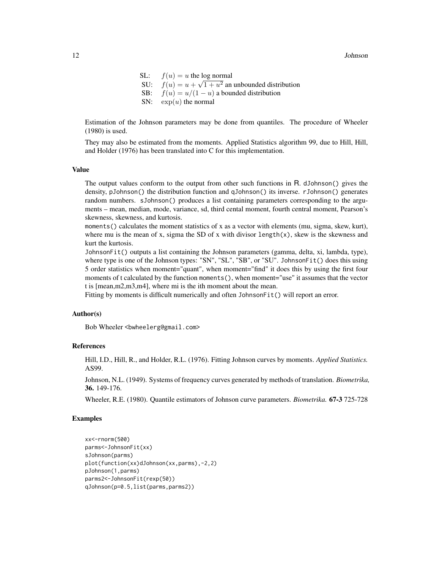SL:  $f(u) = u$  the log normal SU:  $f(u) = u + \sqrt{1 + u^2}$  an unbounded distribution SB:  $f(u) = u/(1-u)$  a bounded distribution SN:  $\exp(u)$  the normal

Estimation of the Johnson parameters may be done from quantiles. The procedure of Wheeler (1980) is used.

They may also be estimated from the moments. Applied Statistics algorithm 99, due to Hill, Hill, and Holder (1976) has been translated into C for this implementation.

# Value

The output values conform to the output from other such functions in R. dJohnson() gives the density, pJohnson() the distribution function and qJohnson() its inverse. rJohnson() generates random numbers. sJohnson() produces a list containing parameters corresponding to the arguments – mean, median, mode, variance, sd, third cental moment, fourth central moment, Pearson's skewness, skewness, and kurtosis.

moments() calculates the moment statistics of x as a vector with elements (mu, sigma, skew, kurt), where mu is the mean of x, sigma the SD of x with divisor length $(x)$ , skew is the skewness and kurt the kurtosis.

JohnsonFit() outputs a list containing the Johnson parameters (gamma, delta, xi, lambda, type), where type is one of the Johnson types: "SN", "SL", "SB", or "SU". JohnsonFit() does this using 5 order statistics when moment="quant", when moment="find" it does this by using the first four moments of t calculated by the function moments (), when moment="use" it assumes that the vector t is [mean,m2,m3,m4], where mi is the ith moment about the mean.

Fitting by moments is difficult numerically and often JohnsonFit() will report an error.

#### Author(s)

Bob Wheeler<br/>bwheelerg@gmail.com>

#### References

Hill, I.D., Hill, R., and Holder, R.L. (1976). Fitting Johnson curves by moments. *Applied Statistics.* AS99.

Johnson, N.L. (1949). Systems of frequency curves generated by methods of translation. *Biometrika,* 36. 149-176.

Wheeler, R.E. (1980). Quantile estimators of Johnson curve parameters. *Biometrika.* 67-3 725-728

# Examples

```
xx<-rnorm(500)
parms<-JohnsonFit(xx)
sJohnson(parms)
plot(function(xx)dJohnson(xx,parms),-2,2)
pJohnson(1,parms)
parms2<-JohnsonFit(rexp(50))
qJohnson(p=0.5,list(parms,parms2))
```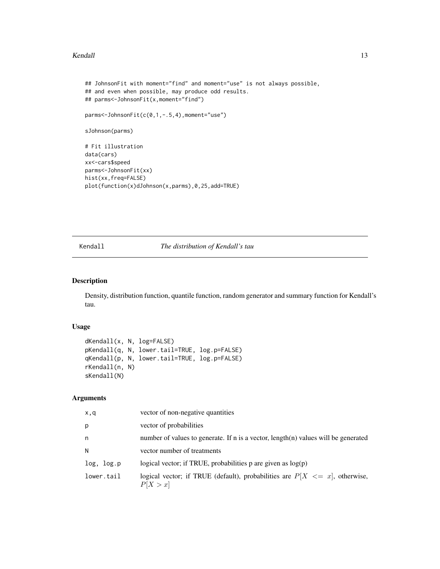#### <span id="page-12-0"></span>Kendall and the set of the set of the set of the set of the set of the set of the set of the set of the set of the set of the set of the set of the set of the set of the set of the set of the set of the set of the set of t

```
## JohnsonFit with moment="find" and moment="use" is not always possible,
## and even when possible, may produce odd results.
## parms<-JohnsonFit(x,moment="find")
parms<-JohnsonFit(c(0,1,-.5,4),moment="use")
sJohnson(parms)
# Fit illustration
data(cars)
xx<-cars$speed
parms<-JohnsonFit(xx)
hist(xx,freq=FALSE)
plot(function(x)dJohnson(x,parms),0,25,add=TRUE)
```
Kendall *The distribution of Kendall's tau*

# Description

Density, distribution function, quantile function, random generator and summary function for Kendall's tau.

#### Usage

```
dKendall(x, N, log=FALSE)
pKendall(q, N, lower.tail=TRUE, log.p=FALSE)
qKendall(p, N, lower.tail=TRUE, log.p=FALSE)
rKendall(n, N)
sKendall(N)
```
# Arguments

| x,q        | vector of non-negative quantities                                                           |
|------------|---------------------------------------------------------------------------------------------|
| p          | vector of probabilities                                                                     |
| n          | number of values to generate. If n is a vector, length(n) values will be generated          |
| N          | vector number of treatments                                                                 |
| log, log.p | logical vector; if TRUE, probabilities $p$ are given as $log(p)$                            |
| lower.tail | logical vector; if TRUE (default), probabilities are $P[X \leq x]$ , otherwise,<br>P[X > x] |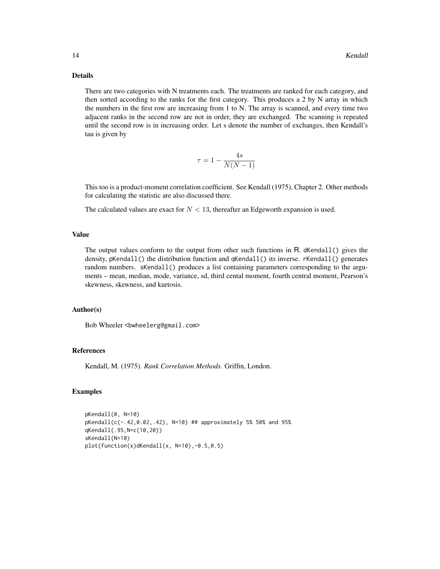# Details

There are two categories with N treatments each. The treatments are ranked for each category, and then sorted according to the ranks for the first category. This produces a 2 by N array in which the numbers in the first row are increasing from 1 to N. The array is scanned, and every time two adjacent ranks in the second row are not in order, they are exchanged. The scanning is repeated until the second row is in increasing order. Let s denote the number of exchanges, then Kendall's tau is given by

$$
\tau = 1 - \frac{4s}{N(N-1)}
$$

This too is a product-moment correlation coefficient. See Kendall (1975), Chapter 2. Other methods for calculating the statistic are also discussed there.

The calculated values are exact for  $N < 13$ , thereafter an Edgeworth expansion is used.

#### Value

The output values conform to the output from other such functions in R. dKendall() gives the density, pKendall() the distribution function and qKendall() its inverse. rKendall() generates random numbers. sKendall() produces a list containing parameters corresponding to the arguments – mean, median, mode, variance, sd, third cental moment, fourth central moment, Pearson's skewness, skewness, and kurtosis.

# Author(s)

Bob Wheeler<br/>bwheelerg@gmail.com>

### References

Kendall, M. (1975). *Rank Correlation Methods.* Griffin, London.

#### Examples

```
pKendall(0, N=10)
pKendall(c(-.42,0.02,.42), N=10) ## approximately 5% 50% and 95%
qKendall(.95,N=c(10,20))
sKendall(N=10)
plot(function(x)dKendall(x, N=10),-0.5,0.5)
```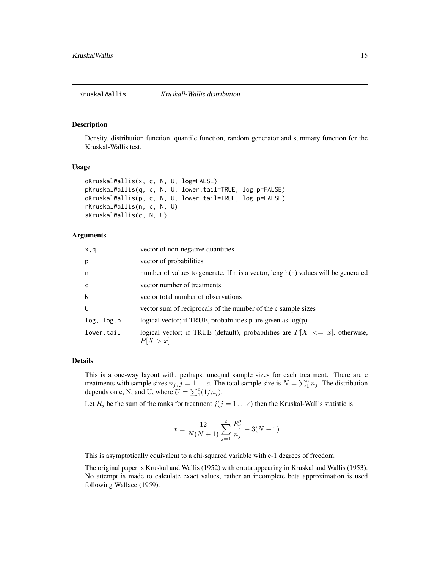#### <span id="page-14-0"></span>Description

Density, distribution function, quantile function, random generator and summary function for the Kruskal-Wallis test.

# Usage

```
dKruskalWallis(x, c, N, U, log=FALSE)
pKruskalWallis(q, c, N, U, lower.tail=TRUE, log.p=FALSE)
qKruskalWallis(p, c, N, U, lower.tail=TRUE, log.p=FALSE)
rKruskalWallis(n, c, N, U)
sKruskalWallis(c, N, U)
```
## Arguments

| x,q          | vector of non-negative quantities                                                           |
|--------------|---------------------------------------------------------------------------------------------|
| p            | vector of probabilities                                                                     |
| n            | number of values to generate. If n is a vector, length(n) values will be generated          |
| $\mathsf{C}$ | vector number of treatments                                                                 |
| N            | vector total number of observations                                                         |
| U            | vector sum of reciprocals of the number of the c sample sizes                               |
| log, log.p   | logical vector; if TRUE, probabilities p are given as $log(p)$                              |
| lower.tail   | logical vector; if TRUE (default), probabilities are $P[X \leq x]$ , otherwise,<br>P[X > x] |

# Details

This is a one-way layout with, perhaps, unequal sample sizes for each treatment. There are c treatments with sample sizes  $n_j$ ,  $j = 1...c$ . The total sample size is  $N = \sum_{i=1}^{c} n_j$ . The distribution depends on c, N, and U, where  $U = \sum_1^c (1/n_j)$ .

Let  $R_j$  be the sum of the ranks for treatment  $j(j = 1 ... c)$  then the Kruskal-Wallis statistic is

$$
x = \frac{12}{N(N+1)}\sum_{j=1}^{c}\frac{R_j^2}{n_j} - 3(N+1)
$$

This is asymptotically equivalent to a chi-squared variable with c-1 degrees of freedom.

The original paper is Kruskal and Wallis (1952) with errata appearing in Kruskal and Wallis (1953). No attempt is made to calculate exact values, rather an incomplete beta approximation is used following Wallace (1959).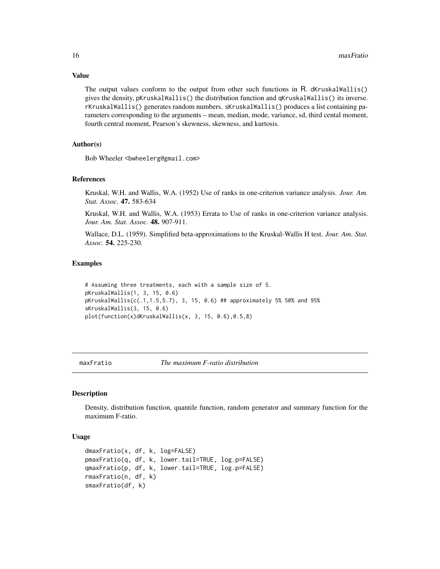Value

The output values conform to the output from other such functions in R. dKruskalWallis() gives the density, pKruskalWallis() the distribution function and qKruskalWallis() its inverse. rKruskalWallis() generates random numbers. sKruskalWallis() produces a list containing parameters corresponding to the arguments – mean, median, mode, variance, sd, third cental moment, fourth central moment, Pearson's skewness, skewness, and kurtosis.

# Author(s)

Bob Wheeler <br/>bwheelerg@gmail.com>

#### References

Kruskal, W.H. and Wallis, W.A. (1952) Use of ranks in one-criterion variance analysis. *Jour. Am. Stat. Assoc.* 47. 583-634

Kruskal, W.H. and Wallis, W.A. (1953) Errata to Use of ranks in one-criterion variance analysis. *Jour. Am. Stat. Assoc.* 48. 907-911.

Wallace, D.L. (1959). Simplified beta-approximations to the Kruskal-Wallis H test. *Jour. Am. Stat. Assoc.* 54. 225-230.

#### Examples

```
# Assuming three treatments, each with a sample size of 5.
pKruskalWallis(1, 3, 15, 0.6)
pKruskalWallis(c(.1,1.5,5.7), 3, 15, 0.6) ## approximately 5% 50% and 95%
sKruskalWallis(3, 15, 0.6)
plot(function(x)dKruskalWallis(x, 3, 15, 0.6),0.5,8)
```
maxFratio *The maximum F-ratio distribution*

#### Description

Density, distribution function, quantile function, random generator and summary function for the maximum F-ratio.

#### Usage

```
dmaxFratio(x, df, k, log=FALSE)
pmaxFratio(q, df, k, lower.tail=TRUE, log.p=FALSE)
qmaxFratio(p, df, k, lower.tail=TRUE, log.p=FALSE)
rmaxFratio(n, df, k)
smaxFratio(df, k)
```
<span id="page-15-0"></span>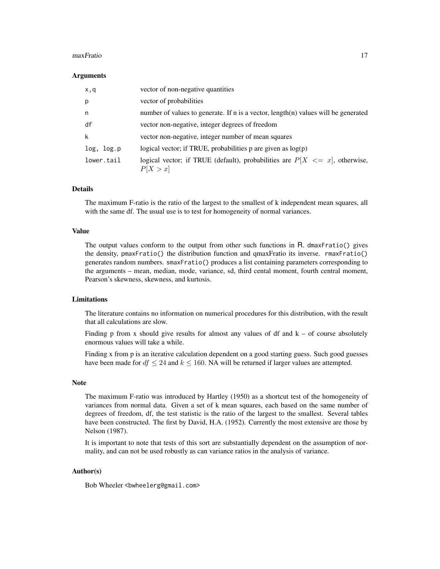#### maxFratio 17

#### **Arguments**

| x,q        | vector of non-negative quantities                                                           |
|------------|---------------------------------------------------------------------------------------------|
| p          | vector of probabilities                                                                     |
| n          | number of values to generate. If n is a vector, length(n) values will be generated          |
| df         | vector non-negative, integer degrees of freedom                                             |
| k          | vector non-negative, integer number of mean squares                                         |
| log, log.p | logical vector; if TRUE, probabilities $p$ are given as $log(p)$                            |
| lower.tail | logical vector; if TRUE (default), probabilities are $P[X \leq x]$ , otherwise,<br>P[X > x] |

# Details

The maximum F-ratio is the ratio of the largest to the smallest of k independent mean squares, all with the same df. The usual use is to test for homogeneity of normal variances.

#### Value

The output values conform to the output from other such functions in R. dmaxFratio() gives the density, pmaxFratio() the distribution function and qmaxFratio its inverse. rmaxFratio() generates random numbers. smaxFratio() produces a list containing parameters corresponding to the arguments – mean, median, mode, variance, sd, third cental moment, fourth central moment, Pearson's skewness, skewness, and kurtosis.

#### Limitations

The literature contains no information on numerical procedures for this distribution, with the result that all calculations are slow.

Finding p from x should give results for almost any values of df and  $k -$  of course absolutely enormous values will take a while.

Finding x from p is an iterative calculation dependent on a good starting guess. Such good guesses have been made for  $df \leq 24$  and  $k \leq 160$ . NA will be returned if larger values are attempted.

#### Note

The maximum F-ratio was introduced by Hartley (1950) as a shortcut test of the homogeneity of variances from normal data. Given a set of k mean squares, each based on the same number of degrees of freedom, df, the test statistic is the ratio of the largest to the smallest. Several tables have been constructed. The first by David, H.A. (1952). Currently the most extensive are those by Nelson (1987).

It is important to note that tests of this sort are substantially dependent on the assumption of normality, and can not be used robustly as can variance ratios in the analysis of variance.

#### Author(s)

Bob Wheeler <bwheelerg@gmail.com>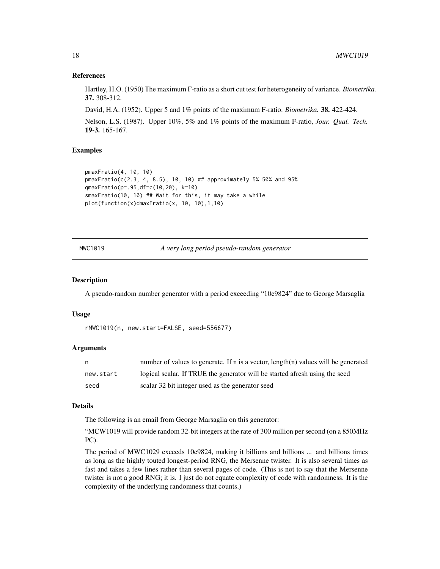#### References

Hartley, H.O. (1950) The maximum F-ratio as a short cut test for heterogeneity of variance. *Biometrika.* 37. 308-312.

David, H.A. (1952). Upper 5 and 1% points of the maximum F-ratio. *Biometrika.* 38. 422-424.

Nelson, L.S. (1987). Upper 10%, 5% and 1% points of the maximum F-ratio, *Jour. Qual. Tech.* 19-3. 165-167.

#### Examples

```
pmaxFratio(4, 10, 10)
pmaxFratio(c(2.3, 4, 8.5), 10, 10) ## approximately 5% 50% and 95%
qmaxFratio(p=.95,df=c(10,20), k=10)
smaxFratio(10, 10) ## Wait for this, it may take a while
plot(function(x)dmaxFratio(x, 10, 10),1,10)
```
MWC1019 *A very long period pseudo-random generator*

# Description

A pseudo-random number generator with a period exceeding "10e9824" due to George Marsaglia

#### Usage

```
rMWC1019(n, new.start=FALSE, seed=556677)
```
# **Arguments**

| n         | number of values to generate. If n is a vector, $length(n)$ values will be generated |
|-----------|--------------------------------------------------------------------------------------|
| new.start | logical scalar. If TRUE the generator will be started afresh using the seed          |
| seed      | scalar 32 bit integer used as the generator seed                                     |

#### Details

The following is an email from George Marsaglia on this generator:

"MCW1019 will provide random 32-bit integers at the rate of 300 million per second (on a 850MHz PC).

The period of MWC1029 exceeds 10e9824, making it billions and billions ... and billions times as long as the highly touted longest-period RNG, the Mersenne twister. It is also several times as fast and takes a few lines rather than several pages of code. (This is not to say that the Mersenne twister is not a good RNG; it is. I just do not equate complexity of code with randomness. It is the complexity of the underlying randomness that counts.)

<span id="page-17-0"></span>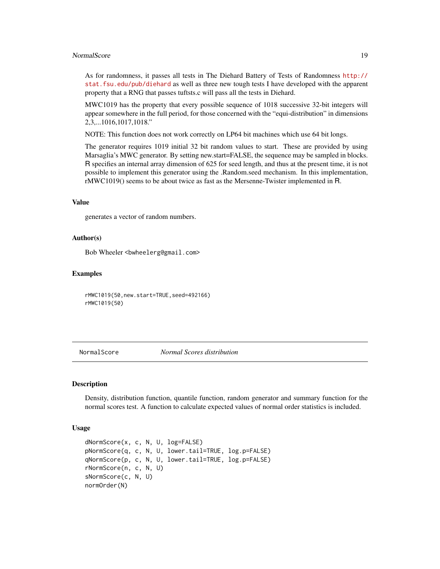#### <span id="page-18-0"></span>NormalScore and the set of the set of the set of the set of the set of the set of the set of the set of the set of the set of the set of the set of the set of the set of the set of the set of the set of the set of the set

As for randomness, it passes all tests in The Diehard Battery of Tests of Randomness [http://](http://stat.fsu.edu/pub/diehard) [stat.fsu.edu/pub/diehard](http://stat.fsu.edu/pub/diehard) as well as three new tough tests I have developed with the apparent property that a RNG that passes tuftsts.c will pass all the tests in Diehard.

MWC1019 has the property that every possible sequence of 1018 successive 32-bit integers will appear somewhere in the full period, for those concerned with the "equi-distribution" in dimensions 2,3,...1016,1017,1018."

NOTE: This function does not work correctly on LP64 bit machines which use 64 bit longs.

The generator requires 1019 initial 32 bit random values to start. These are provided by using Marsaglia's MWC generator. By setting new.start=FALSE, the sequence may be sampled in blocks. R specifies an internal array dimension of 625 for seed length, and thus at the present time, it is not possible to implement this generator using the .Random.seed mechanism. In this implementation, rMWC1019() seems to be about twice as fast as the Mersenne-Twister implemented in R.

#### Value

generates a vector of random numbers.

#### Author(s)

Bob Wheeler <bwheelerg@gmail.com>

#### Examples

rMWC1019(50,new.start=TRUE,seed=492166) rMWC1019(50)

NormalScore *Normal Scores distribution*

# Description

Density, distribution function, quantile function, random generator and summary function for the normal scores test. A function to calculate expected values of normal order statistics is included.

#### Usage

```
dNormScore(x, c, N, U, log=FALSE)
pNormScore(q, c, N, U, lower.tail=TRUE, log.p=FALSE)
qNormScore(p, c, N, U, lower.tail=TRUE, log.p=FALSE)
rNormScore(n, c, N, U)
sNormScore(c, N, U)
normOrder(N)
```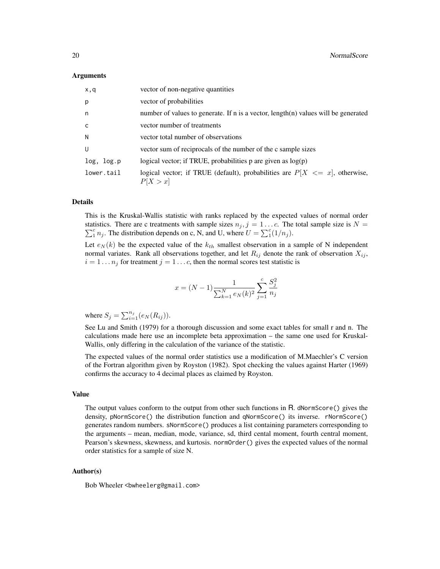#### Arguments

| x,q          | vector of non-negative quantities                                                           |
|--------------|---------------------------------------------------------------------------------------------|
| p            | vector of probabilities                                                                     |
| n            | number of values to generate. If n is a vector, length(n) values will be generated          |
| $\mathsf{C}$ | vector number of treatments                                                                 |
| N            | vector total number of observations                                                         |
| U            | vector sum of reciprocals of the number of the c sample sizes                               |
| log, log.p   | logical vector; if TRUE, probabilities p are given as $log(p)$                              |
| lower.tail   | logical vector; if TRUE (default), probabilities are $P[X \leq x]$ , otherwise,<br>P[X > x] |

# Details

This is the Kruskal-Wallis statistic with ranks replaced by the expected values of normal order statistics. There are c treatments with sample sizes  $n_j$ ,  $j = 1...c$ . The total sample size is  $N =$  $\sum_{i=1}^{c} n_i$ . The distribution depends on c, N, and U, where  $U = \sum_{i=1}^{c} (1/n_i)$ .

Let  $e_N(k)$  be the expected value of the  $k_{th}$  smallest observation in a sample of N independent normal variates. Rank all observations together, and let  $R_{ij}$  denote the rank of observation  $X_{ij}$ ,  $i = 1 \dots n_j$  for treatment  $j = 1 \dots c$ , then the normal scores test statistic is

$$
x = (N - 1)\frac{1}{\sum_{k=1}^{N} e_N(k)^2} \sum_{j=1}^{c} \frac{S_j^2}{n_j}
$$

where  $S_j = \sum_{i=1}^{n_j} (e_N(R_{ij}))$ .

See Lu and Smith (1979) for a thorough discussion and some exact tables for small r and n. The calculations made here use an incomplete beta approximation – the same one used for Kruskal-Wallis, only differing in the calculation of the variance of the statistic.

The expected values of the normal order statistics use a modification of M.Maechler's C version of the Fortran algorithm given by Royston (1982). Spot checking the values against Harter (1969) confirms the accuracy to 4 decimal places as claimed by Royston.

### Value

The output values conform to the output from other such functions in R. dNormScore() gives the density, pNormScore() the distribution function and qNormScore() its inverse. rNormScore() generates random numbers. sNormScore() produces a list containing parameters corresponding to the arguments – mean, median, mode, variance, sd, third cental moment, fourth central moment, Pearson's skewness, skewness, and kurtosis. normOrder() gives the expected values of the normal order statistics for a sample of size N.

# Author(s)

Bob Wheeler <bwheelerg@gmail.com>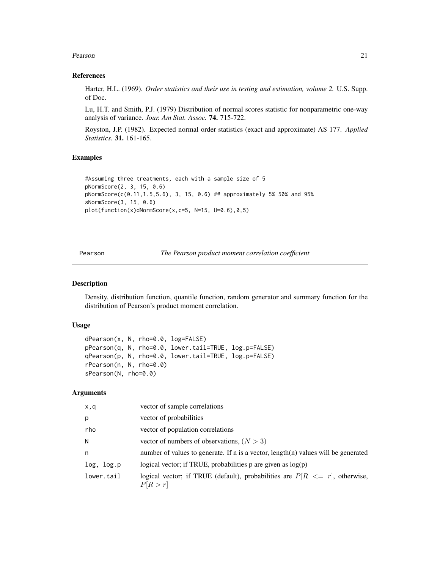#### <span id="page-20-0"></span>Pearson 21

#### References

Harter, H.L. (1969). *Order statistics and their use in testing and estimation, volume 2.* U.S. Supp. of Doc.

Lu, H.T. and Smith, P.J. (1979) Distribution of normal scores statistic for nonparametric one-way analysis of variance. *Jour. Am Stat. Assoc.* 74. 715-722.

Royston, J.P. (1982). Expected normal order statistics (exact and approximate) AS 177. *Applied Statistics.* 31. 161-165.

# Examples

```
#Assuming three treatments, each with a sample size of 5
pNormScore(2, 3, 15, 0.6)
pNormScore(c(0.11,1.5,5.6), 3, 15, 0.6) ## approximately 5% 50% and 95%
sNormScore(3, 15, 0.6)
plot(function(x)dNormScore(x,c=5, N=15, U=0.6),0,5)
```
Pearson *The Pearson product moment correlation coefficient*

# Description

Density, distribution function, quantile function, random generator and summary function for the distribution of Pearson's product moment correlation.

# Usage

```
dPearson(x, N, rho=0.0, log=FALSE)
pPearson(q, N, rho=0.0, lower.tail=TRUE, log.p=FALSE)
qPearson(p, N, rho=0.0, lower.tail=TRUE, log.p=FALSE)
rPearson(n, N, rho=0.0)
sPearson(N, rho=0.0)
```
#### **Arguments**

| x,q        | vector of sample correlations                                                             |
|------------|-------------------------------------------------------------------------------------------|
| p          | vector of probabilities                                                                   |
| rho        | vector of population correlations                                                         |
| N          | vector of numbers of observations, $(N > 3)$                                              |
| n          | number of values to generate. If n is a vector, length(n) values will be generated        |
| log, log.p | logical vector; if TRUE, probabilities p are given as $log(p)$                            |
| lower.tail | logical vector; if TRUE (default), probabilities are $P[R \leq r]$ , otherwise,<br>P[R>r] |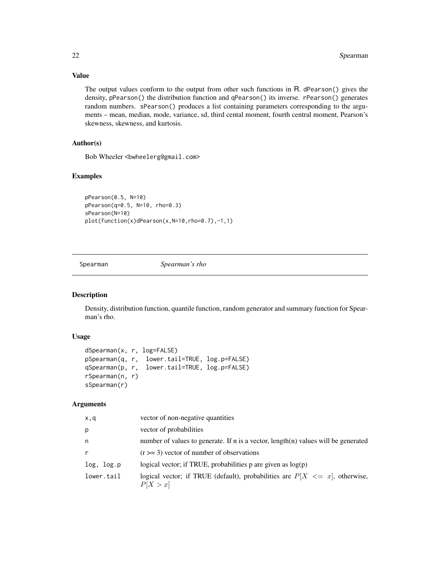Value

The output values conform to the output from other such functions in R. dPearson() gives the density, pPearson() the distribution function and qPearson() its inverse. rPearson() generates random numbers. sPearson() produces a list containing parameters corresponding to the arguments – mean, median, mode, variance, sd, third cental moment, fourth central moment, Pearson's skewness, skewness, and kurtosis.

# Author(s)

Bob Wheeler <br/>bwheelerg@gmail.com>

# Examples

pPearson(0.5, N=10) pPearson(q=0.5, N=10, rho=0.3) sPearson(N=10) plot(function(x)dPearson(x,N=10,rho=0.7),-1,1)

Spearman *Spearman's rho*

#### Description

Density, distribution function, quantile function, random generator and summary function for Spearman's rho.

# Usage

```
dSpearman(x, r, log=FALSE)
pSpearman(q, r, lower.tail=TRUE, log.p=FALSE)
qSpearman(p, r, lower.tail=TRUE, log.p=FALSE)
rSpearman(n, r)
sSpearman(r)
```
#### **Arguments**

| x,q          | vector of non-negative quantities                                                           |
|--------------|---------------------------------------------------------------------------------------------|
| p            | vector of probabilities                                                                     |
| n            | number of values to generate. If n is a vector, length(n) values will be generated          |
| $\mathsf{r}$ | $(r \geq 3)$ vector of number of observations                                               |
| log, log.p   | logical vector; if TRUE, probabilities $p$ are given as $log(p)$                            |
| lower.tail   | logical vector; if TRUE (default), probabilities are $P[X \leq x]$ , otherwise,<br>P[X > x] |

<span id="page-21-0"></span>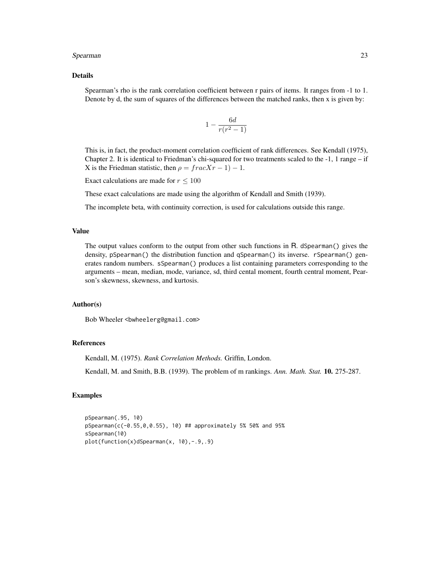#### Spearman 23

#### Details

Spearman's rho is the rank correlation coefficient between r pairs of items. It ranges from -1 to 1. Denote by d, the sum of squares of the differences between the matched ranks, then x is given by:

$$
1 - \frac{6d}{r(r^2 - 1)}
$$

This is, in fact, the product-moment correlation coefficient of rank differences. See Kendall (1975), Chapter 2. It is identical to Friedman's chi-squared for two treatments scaled to the  $-1$ , 1 range – if X is the Friedman statistic, then  $\rho = frac{Xr - 1} - 1$ .

Exact calculations are made for  $r \leq 100$ 

These exact calculations are made using the algorithm of Kendall and Smith (1939).

The incomplete beta, with continuity correction, is used for calculations outside this range.

#### Value

The output values conform to the output from other such functions in R. dSpearman() gives the density, pSpearman() the distribution function and qSpearman() its inverse. rSpearman() generates random numbers. sSpearman() produces a list containing parameters corresponding to the arguments – mean, median, mode, variance, sd, third cental moment, fourth central moment, Pearson's skewness, skewness, and kurtosis.

# Author(s)

Bob Wheeler<br/>bwheelerg@gmail.com>

#### References

Kendall, M. (1975). *Rank Correlation Methods.* Griffin, London.

Kendall, M. and Smith, B.B. (1939). The problem of m rankings. *Ann. Math. Stat.* 10. 275-287.

# Examples

pSpearman(.95, 10) pSpearman(c(-0.55,0,0.55), 10) ## approximately 5% 50% and 95% sSpearman(10) plot(function(x)dSpearman(x, 10),-.9,.9)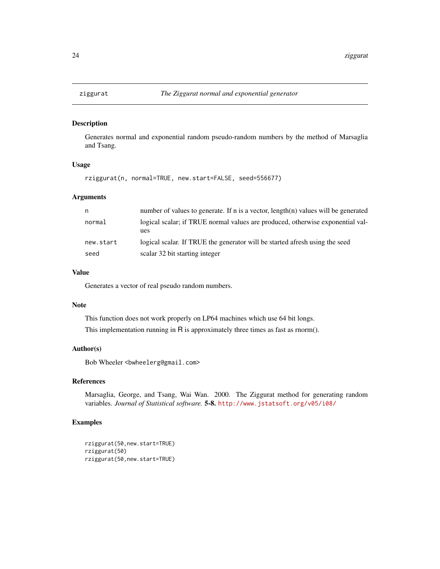<span id="page-23-0"></span>

# Description

Generates normal and exponential random pseudo-random numbers by the method of Marsaglia and Tsang.

# Usage

rziggurat(n, normal=TRUE, new.start=FALSE, seed=556677)

# Arguments

| n.        | number of values to generate. If n is a vector, $length(n)$ values will be generated  |
|-----------|---------------------------------------------------------------------------------------|
| normal    | logical scalar; if TRUE normal values are produced, otherwise exponential val-<br>ues |
| new.start | logical scalar. If TRUE the generator will be started afresh using the seed           |
| seed      | scalar 32 bit starting integer                                                        |

# Value

Generates a vector of real pseudo random numbers.

#### Note

This function does not work properly on LP64 machines which use 64 bit longs. This implementation running in  $R$  is approximately three times as fast as rnorm().

#### Author(s)

Bob Wheeler<br/>bwheelerg@gmail.com>

#### References

Marsaglia, George, and Tsang, Wai Wan. 2000. The Ziggurat method for generating random variables. *Journal of Statistical software.* 5-8. <http://www.jstatsoft.org/v05/i08/>

# Examples

```
rziggurat(50,new.start=TRUE)
rziggurat(50)
rziggurat(50,new.start=TRUE)
```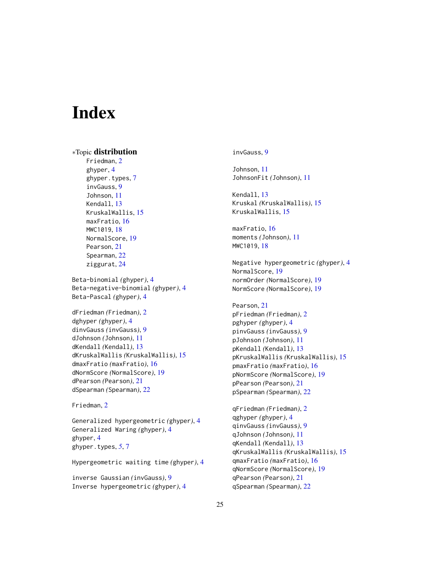# <span id="page-24-0"></span>**Index**

∗Topic distribution

Friedman, [2](#page-1-0) ghyper, [4](#page-3-0) ghyper.types, [7](#page-6-0) invGauss, [9](#page-8-0) Johnson, [11](#page-10-0) Kendall, [13](#page-12-0) KruskalWallis, [15](#page-14-0) maxFratio, [16](#page-15-0) MWC1019, [18](#page-17-0) NormalScore, [19](#page-18-0) Pearson, [21](#page-20-0) Spearman, [22](#page-21-0) ziggurat, [24](#page-23-0) Beta-binomial *(*ghyper*)*, [4](#page-3-0) Beta-negative-binomial *(*ghyper*)*, [4](#page-3-0) Beta-Pascal *(*ghyper*)*, [4](#page-3-0) dFriedman *(*Friedman*)*, [2](#page-1-0) dghyper *(*ghyper*)*, [4](#page-3-0) dinvGauss *(*invGauss*)*, [9](#page-8-0) dJohnson *(*Johnson*)*, [11](#page-10-0) dKendall *(*Kendall*)*, [13](#page-12-0) dKruskalWallis *(*KruskalWallis*)*, [15](#page-14-0) dmaxFratio *(*maxFratio*)*, [16](#page-15-0) dNormScore *(*NormalScore*)*, [19](#page-18-0) dPearson *(*Pearson*)*, [21](#page-20-0) dSpearman *(*Spearman*)*, [22](#page-21-0)

Friedman, [2](#page-1-0)

Generalized hypergeometric *(*ghyper*)*, [4](#page-3-0) Generalized Waring *(*ghyper*)*, [4](#page-3-0) ghyper, [4](#page-3-0) ghyper.types, *[5](#page-4-0)*, [7](#page-6-0)

Hypergeometric waiting time *(*ghyper*)*, [4](#page-3-0)

inverse Gaussian *(*invGauss*)*, [9](#page-8-0) Inverse hypergeometric *(*ghyper*)*, [4](#page-3-0) invGauss, [9](#page-8-0)

Johnson, [11](#page-10-0) JohnsonFit *(*Johnson*)*, [11](#page-10-0)

Kendall, [13](#page-12-0) Kruskal *(*KruskalWallis*)*, [15](#page-14-0) KruskalWallis, [15](#page-14-0)

maxFratio, [16](#page-15-0) moments *(*Johnson*)*, [11](#page-10-0) MWC1019, [18](#page-17-0)

Negative hypergeometric *(*ghyper*)*, [4](#page-3-0) NormalScore, [19](#page-18-0) normOrder *(*NormalScore*)*, [19](#page-18-0) NormScore *(*NormalScore*)*, [19](#page-18-0)

Pearson, [21](#page-20-0) pFriedman *(*Friedman*)*, [2](#page-1-0) pghyper *(*ghyper*)*, [4](#page-3-0) pinvGauss *(*invGauss*)*, [9](#page-8-0) pJohnson *(*Johnson*)*, [11](#page-10-0) pKendall *(*Kendall*)*, [13](#page-12-0) pKruskalWallis *(*KruskalWallis*)*, [15](#page-14-0) pmaxFratio *(*maxFratio*)*, [16](#page-15-0) pNormScore *(*NormalScore*)*, [19](#page-18-0) pPearson *(*Pearson*)*, [21](#page-20-0) pSpearman *(*Spearman*)*, [22](#page-21-0)

qFriedman *(*Friedman*)*, [2](#page-1-0) qghyper *(*ghyper*)*, [4](#page-3-0) qinvGauss *(*invGauss*)*, [9](#page-8-0) qJohnson *(*Johnson*)*, [11](#page-10-0) qKendall *(*Kendall*)*, [13](#page-12-0) qKruskalWallis *(*KruskalWallis*)*, [15](#page-14-0) qmaxFratio *(*maxFratio*)*, [16](#page-15-0) qNormScore *(*NormalScore*)*, [19](#page-18-0) qPearson *(*Pearson*)*, [21](#page-20-0) qSpearman *(*Spearman*)*, [22](#page-21-0)